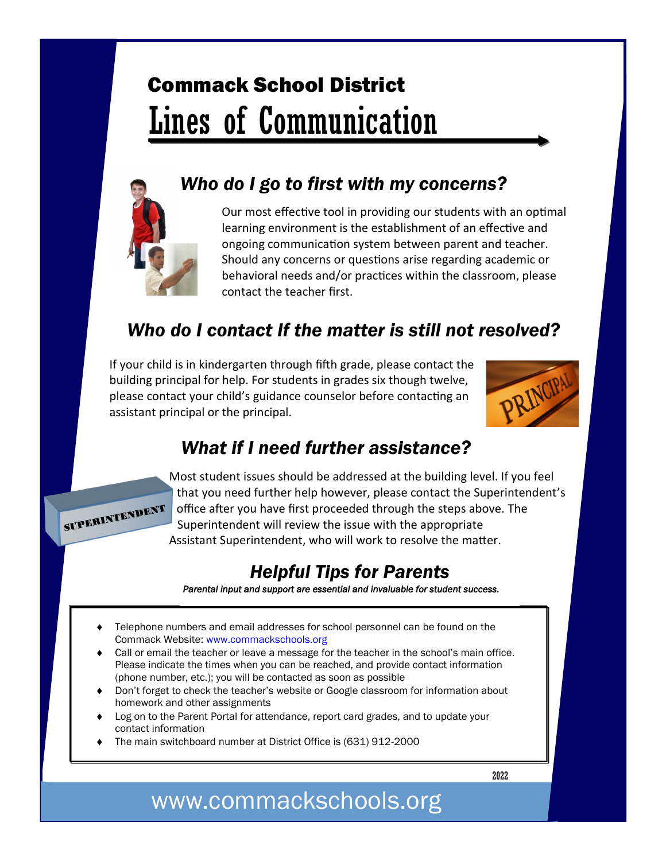# Commack School District Lines of Communication



#### *Who do I go to first with my concerns?*

Our most effective tool in providing our students with an optimal learning environment is the establishment of an effective and ongoing communication system between parent and teacher. Should any concerns or questions arise regarding academic or behavioral needs and/or practices within the classroom, please contact the teacher first.

### *Who do I contact If the matter is still not resolved?*

If your child is in kindergarten through fifth grade, please contact the building principal for help. For students in grades six though twelve, please contact your child's guidance counselor before contacting an assistant principal or the principal.



#### *What if I need further assistance?*



Most student issues should be addressed at the building level. If you feel that you need further help however, please contact the Superintendent's office after you have first proceeded through the steps above. The Superintendent will review the issue with the appropriate Assistant Superintendent, who will work to resolve the matter.

#### *Helpful Tips for Parents*

*Parental input and support are essential and invaluable for student success.* 

- Telephone numbers and email addresses for school personnel can be found on the Commack Website: www.commackschools.org
- Call or email the teacher or leave a message for the teacher in the school's main office. Please indicate the times when you can be reached, and provide contact information (phone number, etc.); you will be contacted as soon as possible
- Don't forget to check the teacher's website or Google classroom for information about homework and other assignments
- Log on to the Parent Portal for attendance, report card grades, and to update your contact information
- The main switchboard number at District Office is (631) 912-2000

2022

## www.commackschools.org